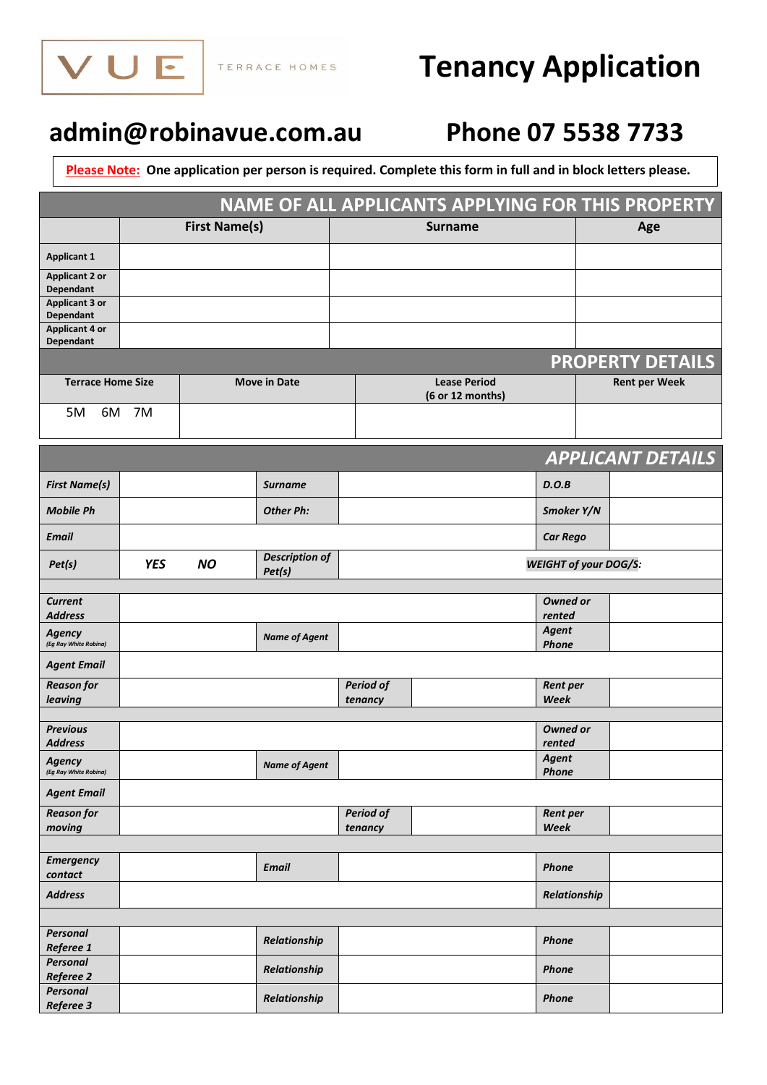

# **Tenancy Application**

## **[admin@robinavue.com.au](mailto:admin@robinavue.com.au) Phone 07 5538 7733**

**Please Note: One application per person is required. Complete this form in full and in block letters please.**

| NAME OF ALL APPLICANTS APPLYING FOR THIS PROPERTY |            |                      |                                         |                             |                |                              |                          |
|---------------------------------------------------|------------|----------------------|-----------------------------------------|-----------------------------|----------------|------------------------------|--------------------------|
|                                                   |            | <b>First Name(s)</b> |                                         |                             | <b>Surname</b> |                              | Age                      |
| <b>Applicant 1</b>                                |            |                      |                                         |                             |                |                              |                          |
| <b>Applicant 2 or</b><br>Dependant                |            |                      |                                         |                             |                |                              |                          |
| <b>Applicant 3 or</b><br>Dependant                |            |                      |                                         |                             |                |                              |                          |
| <b>Applicant 4 or</b>                             |            |                      |                                         |                             |                |                              |                          |
| Dependant                                         |            |                      |                                         |                             |                |                              | <b>PROPERTY DETAILS</b>  |
| <b>Terrace Home Size</b><br><b>Move in Date</b>   |            |                      | <b>Lease Period</b><br>(6 or 12 months) |                             |                | <b>Rent per Week</b>         |                          |
| 5M<br>6M                                          | 7M         |                      |                                         |                             |                |                              |                          |
|                                                   |            |                      |                                         |                             |                |                              |                          |
|                                                   |            |                      |                                         |                             |                |                              | <b>APPLICANT DETAILS</b> |
| <b>First Name(s)</b>                              |            |                      | <b>Surname</b>                          |                             |                | D.O.B                        |                          |
| <b>Mobile Ph</b>                                  |            |                      | <b>Other Ph:</b>                        |                             |                | Smoker Y/N                   |                          |
| <b>Email</b>                                      |            |                      |                                         |                             |                | <b>Car Rego</b>              |                          |
| Pet(s)                                            | <b>YES</b> | <b>NO</b>            | <b>Description of</b><br>Pet(s)         |                             |                | <b>WEIGHT of your DOG/S:</b> |                          |
|                                                   |            |                      |                                         |                             |                |                              |                          |
| <b>Current</b><br><b>Address</b>                  |            |                      |                                         |                             |                | <b>Owned or</b><br>rented    |                          |
| <b>Agency</b><br>(Eg Ray White Robina)            |            |                      | <b>Name of Agent</b>                    |                             |                | Agent<br><b>Phone</b>        |                          |
| <b>Agent Email</b>                                |            |                      |                                         |                             |                |                              |                          |
| <b>Reason for</b>                                 |            |                      |                                         | <b>Period of</b>            |                | Rent per                     |                          |
| leaving                                           |            |                      |                                         | tenancy                     |                | Week                         |                          |
| <b>Previous</b>                                   |            |                      |                                         |                             |                | Owned or                     |                          |
| <b>Address</b>                                    |            |                      |                                         |                             |                | rented                       |                          |
| Agency<br>(Eg Ray White Robina)                   |            |                      | <b>Name of Agent</b>                    |                             |                | Agent<br><b>Phone</b>        |                          |
| <b>Agent Email</b>                                |            |                      |                                         |                             |                |                              |                          |
| <b>Reason for</b><br>moving                       |            |                      |                                         | <b>Period of</b><br>tenancy |                | Rent per<br>Week             |                          |
|                                                   |            |                      |                                         |                             |                |                              |                          |
| <b>Emergency</b>                                  |            |                      | <b>Email</b>                            |                             |                | Phone                        |                          |
| contact<br><b>Address</b>                         |            |                      |                                         |                             |                | Relationship                 |                          |
|                                                   |            |                      |                                         |                             |                |                              |                          |
| Personal                                          |            |                      | Relationship                            |                             |                | <b>Phone</b>                 |                          |
| Referee 1<br><b>Personal</b>                      |            |                      |                                         |                             |                |                              |                          |
| Referee 2                                         |            |                      | Relationship                            |                             |                | <b>Phone</b>                 |                          |
| Personal<br>Referee 3                             |            |                      | Relationship                            |                             |                | <b>Phone</b>                 |                          |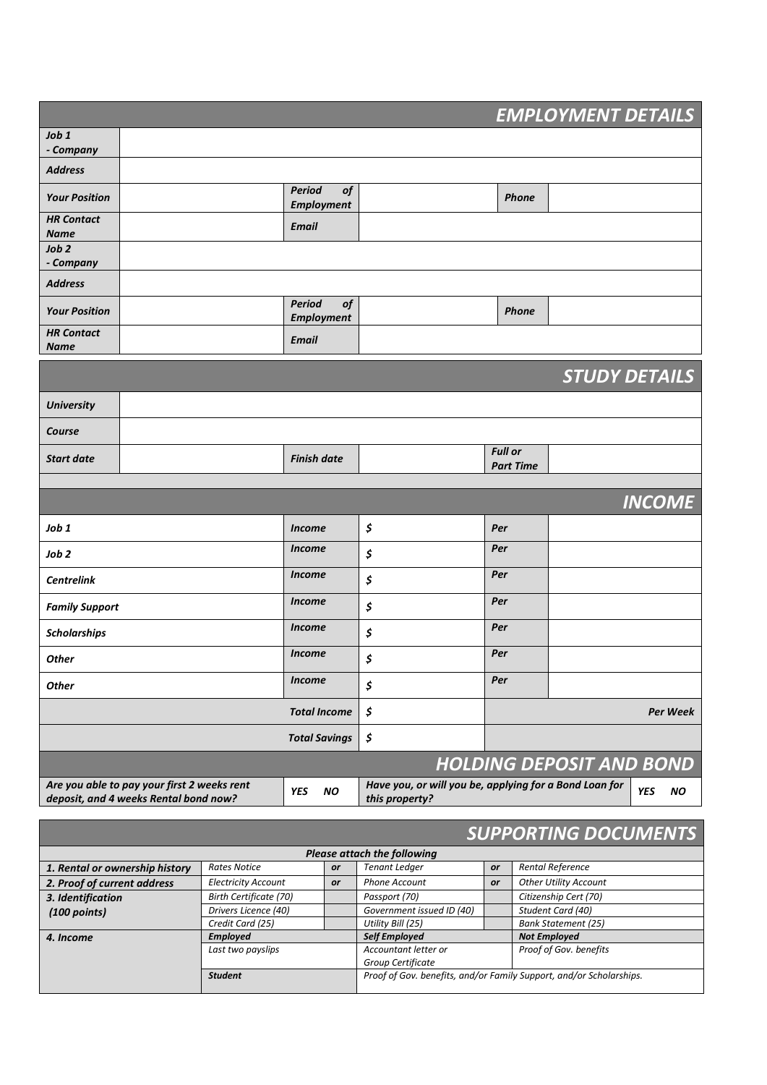| <b>EMPLOYMENT DETAILS</b>                                                                                                                                                                                        |                      |                                    |               |                           |                |                            |  |
|------------------------------------------------------------------------------------------------------------------------------------------------------------------------------------------------------------------|----------------------|------------------------------------|---------------|---------------------------|----------------|----------------------------|--|
| Job 1                                                                                                                                                                                                            |                      |                                    |               |                           |                |                            |  |
| - Company                                                                                                                                                                                                        |                      |                                    |               |                           |                |                            |  |
| <b>Address</b>                                                                                                                                                                                                   |                      |                                    |               |                           |                |                            |  |
| <b>Your Position</b>                                                                                                                                                                                             |                      | <b>Period</b><br><b>Employment</b> | of            |                           |                | <b>Phone</b>               |  |
| <b>HR Contact</b><br><b>Name</b>                                                                                                                                                                                 |                      | <b>Email</b>                       |               |                           |                |                            |  |
| Job 2<br>- Company                                                                                                                                                                                               |                      |                                    |               |                           |                |                            |  |
| <b>Address</b>                                                                                                                                                                                                   |                      |                                    |               |                           |                |                            |  |
| <b>Your Position</b>                                                                                                                                                                                             |                      | Period<br><b>Employment</b>        | <b>of</b>     |                           |                | <b>Phone</b>               |  |
| <b>HR Contact</b><br><b>Name</b>                                                                                                                                                                                 |                      | <b>Email</b>                       |               |                           |                |                            |  |
|                                                                                                                                                                                                                  |                      |                                    |               |                           |                | <b>STUDY DETAILS</b>       |  |
| <b>University</b>                                                                                                                                                                                                |                      |                                    |               |                           |                |                            |  |
| Course                                                                                                                                                                                                           |                      |                                    |               |                           |                |                            |  |
| <b>Start date</b>                                                                                                                                                                                                |                      | <b>Finish date</b>                 |               |                           | <b>Full or</b> | <b>Part Time</b>           |  |
|                                                                                                                                                                                                                  |                      |                                    |               |                           |                |                            |  |
|                                                                                                                                                                                                                  |                      |                                    |               |                           |                | <b>INCOME</b>              |  |
| Job 1                                                                                                                                                                                                            |                      | <b>Income</b>                      |               | \$                        | Per            |                            |  |
| Job <sub>2</sub>                                                                                                                                                                                                 |                      |                                    | <b>Income</b> | \$                        | Per            |                            |  |
| <b>Centrelink</b>                                                                                                                                                                                                |                      | <b>Income</b>                      |               | \$                        | Per            |                            |  |
| <b>Family Support</b>                                                                                                                                                                                            |                      | <b>Income</b>                      |               | \$                        | Per            |                            |  |
| <b>Scholarships</b>                                                                                                                                                                                              |                      |                                    | <b>Income</b> | \$                        | Per            |                            |  |
| <b>Other</b>                                                                                                                                                                                                     |                      |                                    | <b>Income</b> | \$                        | Per            |                            |  |
| <b>Other</b>                                                                                                                                                                                                     |                      | <b>Income</b>                      |               | \$                        | Per            |                            |  |
|                                                                                                                                                                                                                  |                      | <b>Total Income</b>                |               | \$                        |                | Per Week                   |  |
|                                                                                                                                                                                                                  |                      | <b>Total Savings</b>               |               | \$                        |                |                            |  |
| <b>HOLDING DEPOSIT AND BOND</b>                                                                                                                                                                                  |                      |                                    |               |                           |                |                            |  |
| Are you able to pay your first 2 weeks rent<br>Have you, or will you be, applying for a Bond Loan for<br><b>YES</b><br><b>YES</b><br>NO.<br><b>NO</b><br>deposit, and 4 weeks Rental bond now?<br>this property? |                      |                                    |               |                           |                |                            |  |
| <b>SUPPORTING DOCUMENTS</b>                                                                                                                                                                                      |                      |                                    |               |                           |                |                            |  |
| <b>Please attach the following</b>                                                                                                                                                                               |                      |                                    |               |                           |                |                            |  |
| 1. Rental or ownership history                                                                                                                                                                                   | <b>Rates Notice</b>  |                                    | or            | <b>Tenant Ledger</b>      | or             | Rental Reference           |  |
| 2. Proof of current address                                                                                                                                                                                      |                      | <b>Electricity Account</b><br>or   |               | <b>Phone Account</b>      | or             | Other Utility Account      |  |
| 3. Identification                                                                                                                                                                                                |                      | Birth Certificate (70)             |               | Passport (70)             |                | Citizenship Cert (70)      |  |
| $(100$ points)                                                                                                                                                                                                   | Drivers Licence (40) |                                    |               | Government issued ID (40) |                | Student Card (40)          |  |
|                                                                                                                                                                                                                  | Credit Card (25)     |                                    |               | Utility Bill (25)         |                | <b>Bank Statement (25)</b> |  |
| 4. Income                                                                                                                                                                                                        | <b>Employed</b>      |                                    |               | <b>Self Employed</b>      |                | <b>Not Employed</b>        |  |

*Last two payslips Accountant letter or*

*Group Certificate*

*Student Proof of Gov. benefits, and/or Family Support, and/or Scholarships.*

*Proof of Gov. benefits*